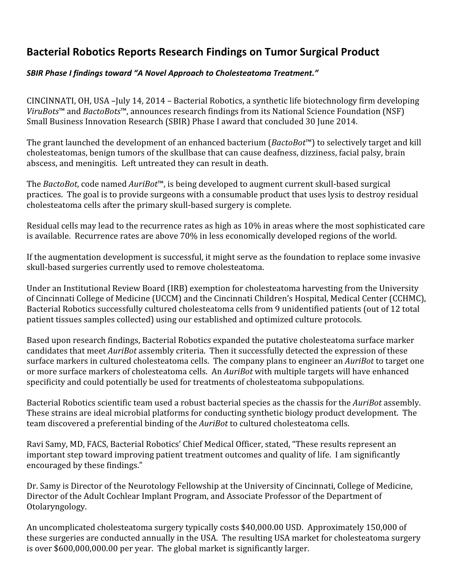## Bacterial Robotics Reports Research Findings on Tumor Surgical Product

## SBIR Phase I findings toward "A Novel Approach to Cholesteatoma Treatment."

CINCINNATI, OH, USA –July 14, 2014 – Bacterial Robotics, a synthetic life biotechnology firm developing ViruBots™ and BactoBots™, announces research findings from its National Science Foundation (NSF) Small Business Innovation Research (SBIR) Phase I award that concluded 30 June 2014.

The grant launched the development of an enhanced bacterium (BactoBot™) to selectively target and kill cholesteatomas, benign tumors of the skullbase that can cause deafness, dizziness, facial palsy, brain abscess, and meningitis. Left untreated they can result in death.

The BactoBot, code named AuriBot<sup>™</sup>, is being developed to augment current skull-based surgical practices. The goal is to provide surgeons with a consumable product that uses lysis to destroy residual cholesteatoma cells after the primary skull-based surgery is complete.

Residual cells may lead to the recurrence rates as high as 10% in areas where the most sophisticated care is available. Recurrence rates are above 70% in less economically developed regions of the world.

If the augmentation development is successful, it might serve as the foundation to replace some invasive skull-based surgeries currently used to remove cholesteatoma.

Under an Institutional Review Board (IRB) exemption for cholesteatoma harvesting from the University of Cincinnati College of Medicine (UCCM) and the Cincinnati Children's Hospital, Medical Center (CCHMC), Bacterial Robotics successfully cultured cholesteatoma cells from 9 unidentified patients (out of 12 total patient tissues samples collected) using our established and optimized culture protocols.

Based upon research findings, Bacterial Robotics expanded the putative cholesteatoma surface marker candidates that meet AuriBot assembly criteria. Then it successfully detected the expression of these surface markers in cultured cholesteatoma cells. The company plans to engineer an AuriBot to target one or more surface markers of cholesteatoma cells. An AuriBot with multiple targets will have enhanced specificity and could potentially be used for treatments of cholesteatoma subpopulations.

Bacterial Robotics scientific team used a robust bacterial species as the chassis for the AuriBot assembly. These strains are ideal microbial platforms for conducting synthetic biology product development. The team discovered a preferential binding of the AuriBot to cultured cholesteatoma cells.

Ravi Samy, MD, FACS, Bacterial Robotics' Chief Medical Officer, stated, "These results represent an important step toward improving patient treatment outcomes and quality of life. I am significantly encouraged by these findings."

Dr. Samy is Director of the Neurotology Fellowship at the University of Cincinnati, College of Medicine, Director of the Adult Cochlear Implant Program, and Associate Professor of the Department of Otolaryngology.

An uncomplicated cholesteatoma surgery typically costs \$40,000.00 USD. Approximately 150,000 of these surgeries are conducted annually in the USA. The resulting USA market for cholesteatoma surgery is over \$600,000,000.00 per year. The global market is significantly larger.